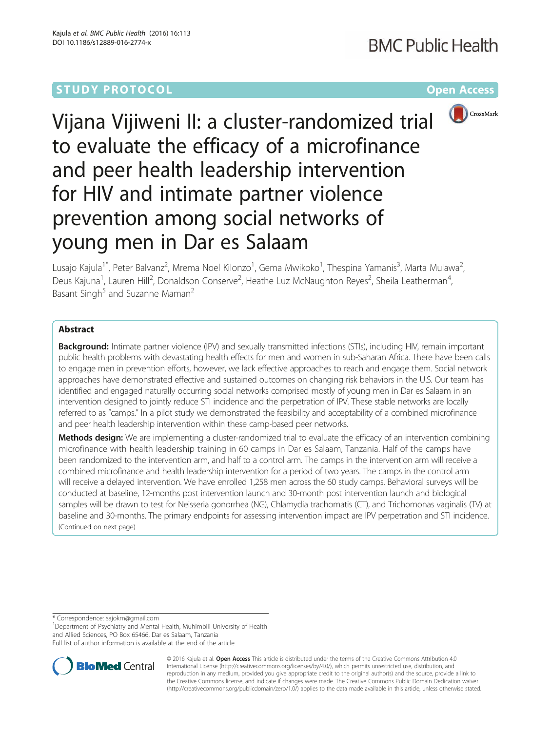

Vijana Vijiweni II: a cluster-randomized trial to evaluate the efficacy of a microfinance and peer health leadership intervention for HIV and intimate partner violence prevention among social networks of young men in Dar es Salaam

Lusajo Kajula<sup>1\*</sup>, Peter Balvanz<sup>2</sup>, Mrema Noel Kilonzo<sup>1</sup>, Gema Mwikoko<sup>1</sup>, Thespina Yamanis<sup>3</sup>, Marta Mulawa<sup>2</sup> , Deus Kajuna<sup>1</sup>, Lauren Hill<sup>2</sup>, Donaldson Conserve<sup>2</sup>, Heathe Luz McNaughton Reyes<sup>2</sup>, Sheila Leatherman<sup>4</sup> , Basant Singh<sup>5</sup> and Suzanne Maman<sup>2</sup>

# Abstract

Background: Intimate partner violence (IPV) and sexually transmitted infections (STIs), including HIV, remain important public health problems with devastating health effects for men and women in sub-Saharan Africa. There have been calls to engage men in prevention efforts, however, we lack effective approaches to reach and engage them. Social network approaches have demonstrated effective and sustained outcomes on changing risk behaviors in the U.S. Our team has identified and engaged naturally occurring social networks comprised mostly of young men in Dar es Salaam in an intervention designed to jointly reduce STI incidence and the perpetration of IPV. These stable networks are locally referred to as "camps." In a pilot study we demonstrated the feasibility and acceptability of a combined microfinance and peer health leadership intervention within these camp-based peer networks.

Methods design: We are implementing a cluster-randomized trial to evaluate the efficacy of an intervention combining microfinance with health leadership training in 60 camps in Dar es Salaam, Tanzania. Half of the camps have been randomized to the intervention arm, and half to a control arm. The camps in the intervention arm will receive a combined microfinance and health leadership intervention for a period of two years. The camps in the control arm will receive a delayed intervention. We have enrolled 1,258 men across the 60 study camps. Behavioral surveys will be conducted at baseline, 12-months post intervention launch and 30-month post intervention launch and biological samples will be drawn to test for Neisseria gonorrhea (NG), Chlamydia trachomatis (CT), and Trichomonas vaginalis (TV) at baseline and 30-months. The primary endpoints for assessing intervention impact are IPV perpetration and STI incidence. (Continued on next page)

\* Correspondence: [sajokm@gmail.com](mailto:sajokm@gmail.com) <sup>1</sup>

<sup>1</sup>Department of Psychiatry and Mental Health, Muhimbili University of Health and Allied Sciences, PO Box 65466, Dar es Salaam, Tanzania

Full list of author information is available at the end of the article



© 2016 Kajula et al. Open Access This article is distributed under the terms of the Creative Commons Attribution 4.0 International License [\(http://creativecommons.org/licenses/by/4.0/](http://creativecommons.org/licenses/by/4.0/)), which permits unrestricted use, distribution, and reproduction in any medium, provided you give appropriate credit to the original author(s) and the source, provide a link to the Creative Commons license, and indicate if changes were made. The Creative Commons Public Domain Dedication waiver [\(http://creativecommons.org/publicdomain/zero/1.0/](http://creativecommons.org/publicdomain/zero/1.0/)) applies to the data made available in this article, unless otherwise stated.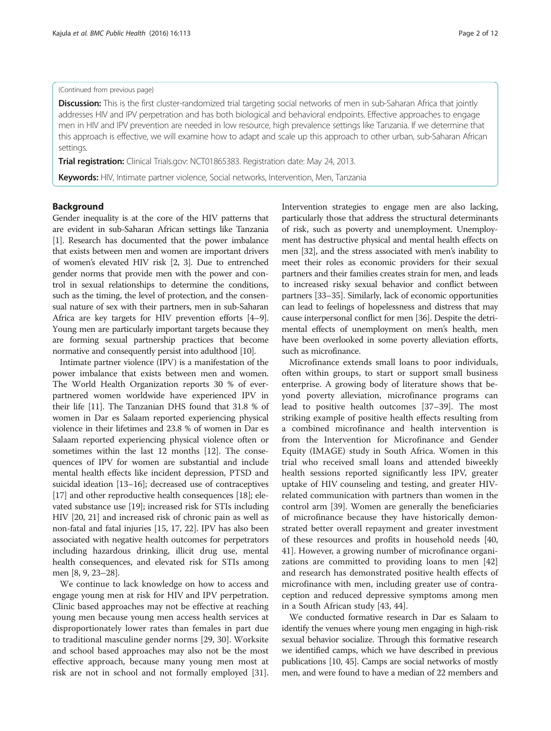### (Continued from previous page)

**Discussion:** This is the first cluster-randomized trial targeting social networks of men in sub-Saharan Africa that jointly addresses HIV and IPV perpetration and has both biological and behavioral endpoints. Effective approaches to engage men in HIV and IPV prevention are needed in low resource, high prevalence settings like Tanzania. If we determine that this approach is effective, we will examine how to adapt and scale up this approach to other urban, sub-Saharan African settings.

**Trial registration:** Clinical Trials.gov: [NCT01865383.](https://clinicaltrials.gov/ct2/show/NCT01865383?term=NCT01865383&rank=1) Registration date: May 24, 2013.

Keywords: HIV, Intimate partner violence, Social networks, Intervention, Men, Tanzania

## Background

Gender inequality is at the core of the HIV patterns that are evident in sub-Saharan African settings like Tanzania [[1](#page-9-0)]. Research has documented that the power imbalance that exists between men and women are important drivers of women's elevated HIV risk [\[2, 3](#page-9-0)]. Due to entrenched gender norms that provide men with the power and control in sexual relationships to determine the conditions, such as the timing, the level of protection, and the consensual nature of sex with their partners, men in sub-Saharan Africa are key targets for HIV prevention efforts [\[4](#page-9-0)–[9](#page-9-0)]. Young men are particularly important targets because they are forming sexual partnership practices that become normative and consequently persist into adulthood [\[10\]](#page-9-0).

Intimate partner violence (IPV) is a manifestation of the power imbalance that exists between men and women. The World Health Organization reports 30 % of everpartnered women worldwide have experienced IPV in their life [\[11\]](#page-9-0). The Tanzanian DHS found that 31.8 % of women in Dar es Salaam reported experiencing physical violence in their lifetimes and 23.8 % of women in Dar es Salaam reported experiencing physical violence often or sometimes within the last 12 months [[12](#page-10-0)]. The consequences of IPV for women are substantial and include mental health effects like incident depression, PTSD and suicidal ideation [[13](#page-10-0)–[16\]](#page-10-0); decreased use of contraceptives [[17](#page-10-0)] and other reproductive health consequences [\[18\]](#page-10-0); elevated substance use [\[19\]](#page-10-0); increased risk for STIs including HIV [\[20, 21\]](#page-10-0) and increased risk of chronic pain as well as non-fatal and fatal injuries [[15](#page-10-0), [17](#page-10-0), [22](#page-10-0)]. IPV has also been associated with negative health outcomes for perpetrators including hazardous drinking, illicit drug use, mental health consequences, and elevated risk for STIs among men [\[8](#page-9-0), [9](#page-9-0), [23](#page-10-0)–[28](#page-10-0)].

We continue to lack knowledge on how to access and engage young men at risk for HIV and IPV perpetration. Clinic based approaches may not be effective at reaching young men because young men access health services at disproportionately lower rates than females in part due to traditional masculine gender norms [[29, 30\]](#page-10-0). Worksite and school based approaches may also not be the most effective approach, because many young men most at risk are not in school and not formally employed [\[31](#page-10-0)]. Intervention strategies to engage men are also lacking, particularly those that address the structural determinants of risk, such as poverty and unemployment. Unemployment has destructive physical and mental health effects on men [[32](#page-10-0)], and the stress associated with men's inability to meet their roles as economic providers for their sexual partners and their families creates strain for men, and leads to increased risky sexual behavior and conflict between partners [\[33](#page-10-0)–[35](#page-10-0)]. Similarly, lack of economic opportunities can lead to feelings of hopelessness and distress that may cause interpersonal conflict for men [\[36\]](#page-10-0). Despite the detrimental effects of unemployment on men's health, men have been overlooked in some poverty alleviation efforts, such as microfinance.

Microfinance extends small loans to poor individuals, often within groups, to start or support small business enterprise. A growing body of literature shows that beyond poverty alleviation, microfinance programs can lead to positive health outcomes [\[37](#page-10-0)–[39\]](#page-10-0). The most striking example of positive health effects resulting from a combined microfinance and health intervention is from the Intervention for Microfinance and Gender Equity (IMAGE) study in South Africa. Women in this trial who received small loans and attended biweekly health sessions reported significantly less IPV, greater uptake of HIV counseling and testing, and greater HIVrelated communication with partners than women in the control arm [[39](#page-10-0)]. Women are generally the beneficiaries of microfinance because they have historically demonstrated better overall repayment and greater investment of these resources and profits in household needs [[40](#page-10-0), [41\]](#page-10-0). However, a growing number of microfinance organizations are committed to providing loans to men [[42](#page-10-0)] and research has demonstrated positive health effects of microfinance with men, including greater use of contraception and reduced depressive symptoms among men in a South African study [\[43, 44\]](#page-10-0).

We conducted formative research in Dar es Salaam to identify the venues where young men engaging in high-risk sexual behavior socialize. Through this formative research we identified camps, which we have described in previous publications [[10](#page-9-0), [45\]](#page-10-0). Camps are social networks of mostly men, and were found to have a median of 22 members and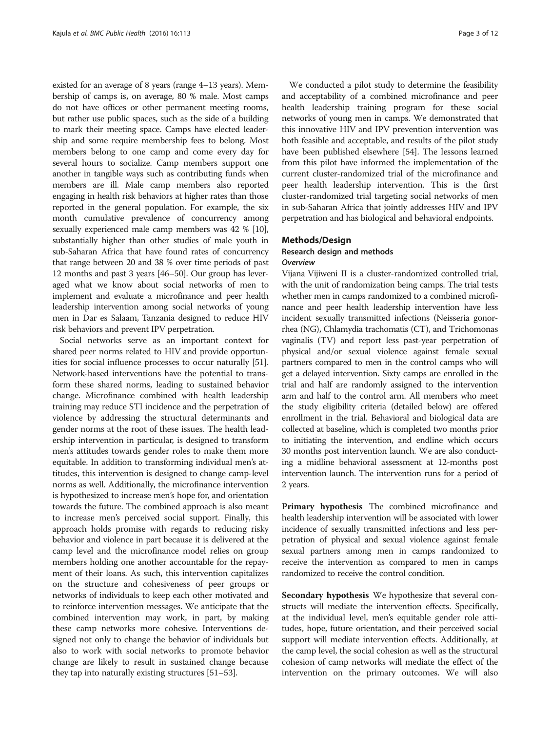existed for an average of 8 years (range 4–13 years). Membership of camps is, on average, 80 % male. Most camps do not have offices or other permanent meeting rooms, but rather use public spaces, such as the side of a building to mark their meeting space. Camps have elected leadership and some require membership fees to belong. Most members belong to one camp and come every day for several hours to socialize. Camp members support one another in tangible ways such as contributing funds when members are ill. Male camp members also reported engaging in health risk behaviors at higher rates than those reported in the general population. For example, the six month cumulative prevalence of concurrency among sexually experienced male camp members was 42 % [[10](#page-9-0)], substantially higher than other studies of male youth in sub-Saharan Africa that have found rates of concurrency that range between 20 and 38 % over time periods of past 12 months and past 3 years [\[46](#page-10-0)–[50](#page-10-0)]. Our group has leveraged what we know about social networks of men to implement and evaluate a microfinance and peer health leadership intervention among social networks of young men in Dar es Salaam, Tanzania designed to reduce HIV risk behaviors and prevent IPV perpetration.

Social networks serve as an important context for shared peer norms related to HIV and provide opportunities for social influence processes to occur naturally [[51](#page-10-0)]. Network-based interventions have the potential to transform these shared norms, leading to sustained behavior change. Microfinance combined with health leadership training may reduce STI incidence and the perpetration of violence by addressing the structural determinants and gender norms at the root of these issues. The health leadership intervention in particular, is designed to transform men's attitudes towards gender roles to make them more equitable. In addition to transforming individual men's attitudes, this intervention is designed to change camp-level norms as well. Additionally, the microfinance intervention is hypothesized to increase men's hope for, and orientation towards the future. The combined approach is also meant to increase men's perceived social support. Finally, this approach holds promise with regards to reducing risky behavior and violence in part because it is delivered at the camp level and the microfinance model relies on group members holding one another accountable for the repayment of their loans. As such, this intervention capitalizes on the structure and cohesiveness of peer groups or networks of individuals to keep each other motivated and to reinforce intervention messages. We anticipate that the combined intervention may work, in part, by making these camp networks more cohesive. Interventions designed not only to change the behavior of individuals but also to work with social networks to promote behavior change are likely to result in sustained change because they tap into naturally existing structures [[51](#page-10-0)–[53\]](#page-10-0).

We conducted a pilot study to determine the feasibility and acceptability of a combined microfinance and peer health leadership training program for these social networks of young men in camps. We demonstrated that this innovative HIV and IPV prevention intervention was both feasible and acceptable, and results of the pilot study have been published elsewhere [\[54\]](#page-10-0). The lessons learned from this pilot have informed the implementation of the current cluster-randomized trial of the microfinance and peer health leadership intervention. This is the first cluster-randomized trial targeting social networks of men in sub-Saharan Africa that jointly addresses HIV and IPV perpetration and has biological and behavioral endpoints.

## Methods/Design

## Research design and methods **Overview**

Vijana Vijiweni II is a cluster-randomized controlled trial, with the unit of randomization being camps. The trial tests whether men in camps randomized to a combined microfinance and peer health leadership intervention have less incident sexually transmitted infections (Neisseria gonorrhea (NG), Chlamydia trachomatis (CT), and Trichomonas vaginalis (TV) and report less past-year perpetration of physical and/or sexual violence against female sexual partners compared to men in the control camps who will get a delayed intervention. Sixty camps are enrolled in the trial and half are randomly assigned to the intervention arm and half to the control arm. All members who meet the study eligibility criteria (detailed below) are offered enrollment in the trial. Behavioral and biological data are collected at baseline, which is completed two months prior to initiating the intervention, and endline which occurs 30 months post intervention launch. We are also conducting a midline behavioral assessment at 12-months post intervention launch. The intervention runs for a period of 2 years.

Primary hypothesis The combined microfinance and health leadership intervention will be associated with lower incidence of sexually transmitted infections and less perpetration of physical and sexual violence against female sexual partners among men in camps randomized to receive the intervention as compared to men in camps randomized to receive the control condition.

Secondary hypothesis We hypothesize that several constructs will mediate the intervention effects. Specifically, at the individual level, men's equitable gender role attitudes, hope, future orientation, and their perceived social support will mediate intervention effects. Additionally, at the camp level, the social cohesion as well as the structural cohesion of camp networks will mediate the effect of the intervention on the primary outcomes. We will also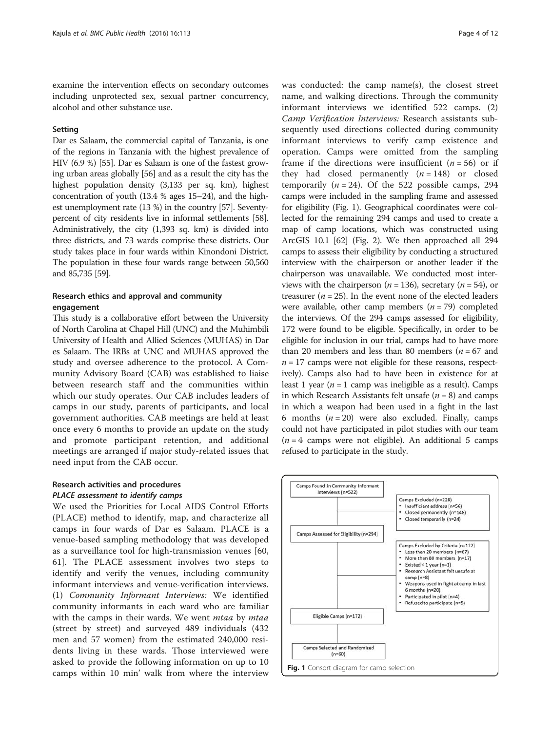examine the intervention effects on secondary outcomes including unprotected sex, sexual partner concurrency, alcohol and other substance use.

## Setting

Dar es Salaam, the commercial capital of Tanzania, is one of the regions in Tanzania with the highest prevalence of HIV (6.9 %) [\[55\]](#page-10-0). Dar es Salaam is one of the fastest growing urban areas globally [[56](#page-10-0)] and as a result the city has the highest population density (3,133 per sq. km), highest concentration of youth (13.4 % ages 15–24), and the highest unemployment rate (13 %) in the country [[57\]](#page-10-0). Seventypercent of city residents live in informal settlements [\[58](#page-10-0)]. Administratively, the city (1,393 sq. km) is divided into three districts, and 73 wards comprise these districts. Our study takes place in four wards within Kinondoni District. The population in these four wards range between 50,560 and 85,735 [\[59\]](#page-10-0).

## Research ethics and approval and community engagement

This study is a collaborative effort between the University of North Carolina at Chapel Hill (UNC) and the Muhimbili University of Health and Allied Sciences (MUHAS) in Dar es Salaam. The IRBs at UNC and MUHAS approved the study and oversee adherence to the protocol. A Community Advisory Board (CAB) was established to liaise between research staff and the communities within which our study operates. Our CAB includes leaders of camps in our study, parents of participants, and local government authorities. CAB meetings are held at least once every 6 months to provide an update on the study and promote participant retention, and additional meetings are arranged if major study-related issues that need input from the CAB occur.

## Research activities and procedures PLACE assessment to identify camps

We used the Priorities for Local AIDS Control Efforts (PLACE) method to identify, map, and characterize all camps in four wards of Dar es Salaam. PLACE is a venue-based sampling methodology that was developed as a surveillance tool for high-transmission venues [\[60](#page-10-0), [61\]](#page-10-0). The PLACE assessment involves two steps to identify and verify the venues, including community informant interviews and venue-verification interviews. (1) Community Informant Interviews: We identified community informants in each ward who are familiar with the camps in their wards. We went *mtaa* by *mtaa* (street by street) and surveyed 489 individuals (432 men and 57 women) from the estimated 240,000 residents living in these wards. Those interviewed were asked to provide the following information on up to 10 camps within 10 min' walk from where the interview was conducted: the camp name(s), the closest street name, and walking directions. Through the community informant interviews we identified 522 camps. (2) Camp Verification Interviews: Research assistants subsequently used directions collected during community informant interviews to verify camp existence and operation. Camps were omitted from the sampling frame if the directions were insufficient  $(n = 56)$  or if they had closed permanently  $(n = 148)$  or closed temporarily  $(n = 24)$ . Of the 522 possible camps, 294 camps were included in the sampling frame and assessed for eligibility (Fig. 1). Geographical coordinates were collected for the remaining 294 camps and used to create a map of camp locations, which was constructed using ArcGIS 10.1 [[62](#page--1-0)] (Fig. [2\)](#page-4-0). We then approached all 294 camps to assess their eligibility by conducting a structured interview with the chairperson or another leader if the chairperson was unavailable. We conducted most interviews with the chairperson ( $n = 136$ ), secretary ( $n = 54$ ), or treasurer ( $n = 25$ ). In the event none of the elected leaders were available, other camp members  $(n = 79)$  completed the interviews. Of the 294 camps assessed for eligibility, 172 were found to be eligible. Specifically, in order to be eligible for inclusion in our trial, camps had to have more than 20 members and less than 80 members ( $n = 67$  and  $n = 17$  camps were not eligible for these reasons, respectively). Camps also had to have been in existence for at least 1 year ( $n = 1$  camp was ineligible as a result). Camps in which Research Assistants felt unsafe  $(n = 8)$  and camps in which a weapon had been used in a fight in the last 6 months  $(n = 20)$  were also excluded. Finally, camps could not have participated in pilot studies with our team  $(n = 4$  camps were not eligible). An additional 5 camps refused to participate in the study.

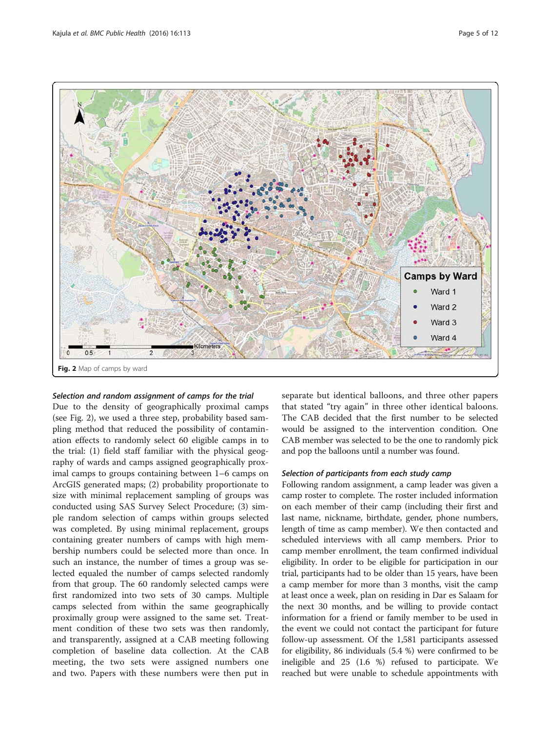<span id="page-4-0"></span>

## Selection and random assignment of camps for the trial

Due to the density of geographically proximal camps (see Fig. 2), we used a three step, probability based sampling method that reduced the possibility of contamination effects to randomly select 60 eligible camps in to the trial: (1) field staff familiar with the physical geography of wards and camps assigned geographically proximal camps to groups containing between 1–6 camps on ArcGIS generated maps; (2) probability proportionate to size with minimal replacement sampling of groups was conducted using SAS Survey Select Procedure; (3) simple random selection of camps within groups selected was completed. By using minimal replacement, groups containing greater numbers of camps with high membership numbers could be selected more than once. In such an instance, the number of times a group was selected equaled the number of camps selected randomly from that group. The 60 randomly selected camps were first randomized into two sets of 30 camps. Multiple camps selected from within the same geographically proximally group were assigned to the same set. Treatment condition of these two sets was then randomly, and transparently, assigned at a CAB meeting following completion of baseline data collection. At the CAB meeting, the two sets were assigned numbers one and two. Papers with these numbers were then put in

separate but identical balloons, and three other papers that stated "try again" in three other identical baloons. The CAB decided that the first number to be selected would be assigned to the intervention condition. One CAB member was selected to be the one to randomly pick and pop the balloons until a number was found.

## Selection of participants from each study camp

Following random assignment, a camp leader was given a camp roster to complete. The roster included information on each member of their camp (including their first and last name, nickname, birthdate, gender, phone numbers, length of time as camp member). We then contacted and scheduled interviews with all camp members. Prior to camp member enrollment, the team confirmed individual eligibility. In order to be eligible for participation in our trial, participants had to be older than 15 years, have been a camp member for more than 3 months, visit the camp at least once a week, plan on residing in Dar es Salaam for the next 30 months, and be willing to provide contact information for a friend or family member to be used in the event we could not contact the participant for future follow-up assessment. Of the 1,581 participants assessed for eligibility, 86 individuals (5.4 %) were confirmed to be ineligible and 25 (1.6 %) refused to participate. We reached but were unable to schedule appointments with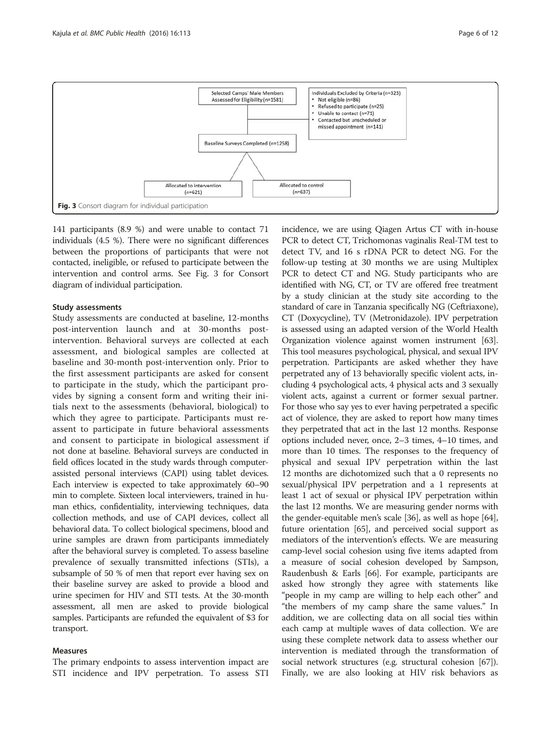

141 participants (8.9 %) and were unable to contact 71 individuals (4.5 %). There were no significant differences between the proportions of participants that were not contacted, ineligible, or refused to participate between the intervention and control arms. See Fig. 3 for Consort diagram of individual participation.

### Study assessments

Study assessments are conducted at baseline, 12-months post-intervention launch and at 30-months postintervention. Behavioral surveys are collected at each assessment, and biological samples are collected at baseline and 30-month post-intervention only. Prior to the first assessment participants are asked for consent to participate in the study, which the participant provides by signing a consent form and writing their initials next to the assessments (behavioral, biological) to which they agree to participate. Participants must reassent to participate in future behavioral assessments and consent to participate in biological assessment if not done at baseline. Behavioral surveys are conducted in field offices located in the study wards through computerassisted personal interviews (CAPI) using tablet devices. Each interview is expected to take approximately 60–90 min to complete. Sixteen local interviewers, trained in human ethics, confidentiality, interviewing techniques, data collection methods, and use of CAPI devices, collect all behavioral data. To collect biological specimens, blood and urine samples are drawn from participants immediately after the behavioral survey is completed. To assess baseline prevalence of sexually transmitted infections (STIs), a subsample of 50 % of men that report ever having sex on their baseline survey are asked to provide a blood and urine specimen for HIV and STI tests. At the 30-month assessment, all men are asked to provide biological samples. Participants are refunded the equivalent of \$3 for transport.

## Measures

The primary endpoints to assess intervention impact are STI incidence and IPV perpetration. To assess STI

incidence, we are using Qiagen Artus CT with in-house PCR to detect CT, Trichomonas vaginalis Real-TM test to detect TV, and 16 s rDNA PCR to detect NG. For the follow-up testing at 30 months we are using Multiplex PCR to detect CT and NG. Study participants who are identified with NG, CT, or TV are offered free treatment by a study clinician at the study site according to the standard of care in Tanzania specifically NG (Ceftriaxone), CT (Doxycycline), TV (Metronidazole). IPV perpetration is assessed using an adapted version of the World Health Organization violence against women instrument [[63](#page--1-0)]. This tool measures psychological, physical, and sexual IPV perpetration. Participants are asked whether they have perpetrated any of 13 behaviorally specific violent acts, including 4 psychological acts, 4 physical acts and 3 sexually violent acts, against a current or former sexual partner. For those who say yes to ever having perpetrated a specific act of violence, they are asked to report how many times they perpetrated that act in the last 12 months. Response options included never, once, 2–3 times, 4–10 times, and more than 10 times. The responses to the frequency of physical and sexual IPV perpetration within the last 12 months are dichotomized such that a 0 represents no sexual/physical IPV perpetration and a 1 represents at least 1 act of sexual or physical IPV perpetration within the last 12 months. We are measuring gender norms with the gender-equitable men's scale [\[36\]](#page-10-0), as well as hope [[64](#page--1-0)], future orientation [[65](#page--1-0)], and perceived social support as mediators of the intervention's effects. We are measuring camp-level social cohesion using five items adapted from a measure of social cohesion developed by Sampson, Raudenbush & Earls [[66](#page--1-0)]. For example, participants are asked how strongly they agree with statements like "people in my camp are willing to help each other" and "the members of my camp share the same values." In addition, we are collecting data on all social ties within each camp at multiple waves of data collection. We are using these complete network data to assess whether our intervention is mediated through the transformation of social network structures (e.g. structural cohesion [[67](#page--1-0)]). Finally, we are also looking at HIV risk behaviors as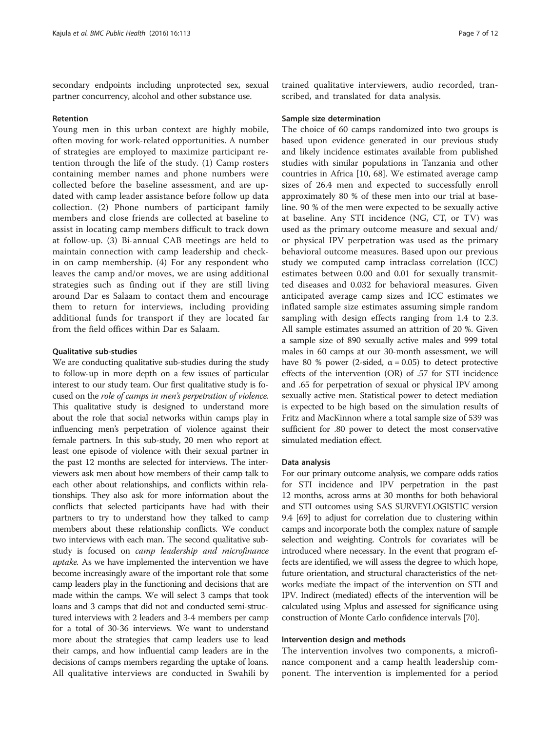secondary endpoints including unprotected sex, sexual partner concurrency, alcohol and other substance use.

### Retention

Young men in this urban context are highly mobile, often moving for work-related opportunities. A number of strategies are employed to maximize participant retention through the life of the study. (1) Camp rosters containing member names and phone numbers were collected before the baseline assessment, and are updated with camp leader assistance before follow up data collection. (2) Phone numbers of participant family members and close friends are collected at baseline to assist in locating camp members difficult to track down at follow-up. (3) Bi-annual CAB meetings are held to maintain connection with camp leadership and checkin on camp membership. (4) For any respondent who leaves the camp and/or moves, we are using additional strategies such as finding out if they are still living around Dar es Salaam to contact them and encourage them to return for interviews, including providing additional funds for transport if they are located far from the field offices within Dar es Salaam.

### Qualitative sub-studies

We are conducting qualitative sub-studies during the study to follow-up in more depth on a few issues of particular interest to our study team. Our first qualitative study is focused on the role of camps in men's perpetration of violence. This qualitative study is designed to understand more about the role that social networks within camps play in influencing men's perpetration of violence against their female partners. In this sub-study, 20 men who report at least one episode of violence with their sexual partner in the past 12 months are selected for interviews. The interviewers ask men about how members of their camp talk to each other about relationships, and conflicts within relationships. They also ask for more information about the conflicts that selected participants have had with their partners to try to understand how they talked to camp members about these relationship conflicts. We conduct two interviews with each man. The second qualitative substudy is focused on camp leadership and microfinance uptake. As we have implemented the intervention we have become increasingly aware of the important role that some camp leaders play in the functioning and decisions that are made within the camps. We will select 3 camps that took loans and 3 camps that did not and conducted semi-structured interviews with 2 leaders and 3-4 members per camp for a total of 30-36 interviews. We want to understand more about the strategies that camp leaders use to lead their camps, and how influential camp leaders are in the decisions of camps members regarding the uptake of loans. All qualitative interviews are conducted in Swahili by trained qualitative interviewers, audio recorded, transcribed, and translated for data analysis.

#### Sample size determination

The choice of 60 camps randomized into two groups is based upon evidence generated in our previous study and likely incidence estimates available from published studies with similar populations in Tanzania and other countries in Africa [[10](#page-9-0), [68\]](#page--1-0). We estimated average camp sizes of 26.4 men and expected to successfully enroll approximately 80 % of these men into our trial at baseline. 90 % of the men were expected to be sexually active at baseline. Any STI incidence (NG, CT, or TV) was used as the primary outcome measure and sexual and/ or physical IPV perpetration was used as the primary behavioral outcome measures. Based upon our previous study we computed camp intraclass correlation (ICC) estimates between 0.00 and 0.01 for sexually transmitted diseases and 0.032 for behavioral measures. Given anticipated average camp sizes and ICC estimates we inflated sample size estimates assuming simple random sampling with design effects ranging from 1.4 to 2.3. All sample estimates assumed an attrition of 20 %. Given a sample size of 890 sexually active males and 999 total males in 60 camps at our 30-month assessment, we will have 80 % power (2-sided,  $\alpha = 0.05$ ) to detect protective effects of the intervention (OR) of .57 for STI incidence and .65 for perpetration of sexual or physical IPV among sexually active men. Statistical power to detect mediation is expected to be high based on the simulation results of Fritz and MacKinnon where a total sample size of 539 was sufficient for .80 power to detect the most conservative simulated mediation effect.

### Data analysis

For our primary outcome analysis, we compare odds ratios for STI incidence and IPV perpetration in the past 12 months, across arms at 30 months for both behavioral and STI outcomes using SAS SURVEYLOGISTIC version 9.4 [\[69\]](#page--1-0) to adjust for correlation due to clustering within camps and incorporate both the complex nature of sample selection and weighting. Controls for covariates will be introduced where necessary. In the event that program effects are identified, we will assess the degree to which hope, future orientation, and structural characteristics of the networks mediate the impact of the intervention on STI and IPV. Indirect (mediated) effects of the intervention will be calculated using Mplus and assessed for significance using construction of Monte Carlo confidence intervals [\[70](#page--1-0)].

### Intervention design and methods

The intervention involves two components, a microfinance component and a camp health leadership component. The intervention is implemented for a period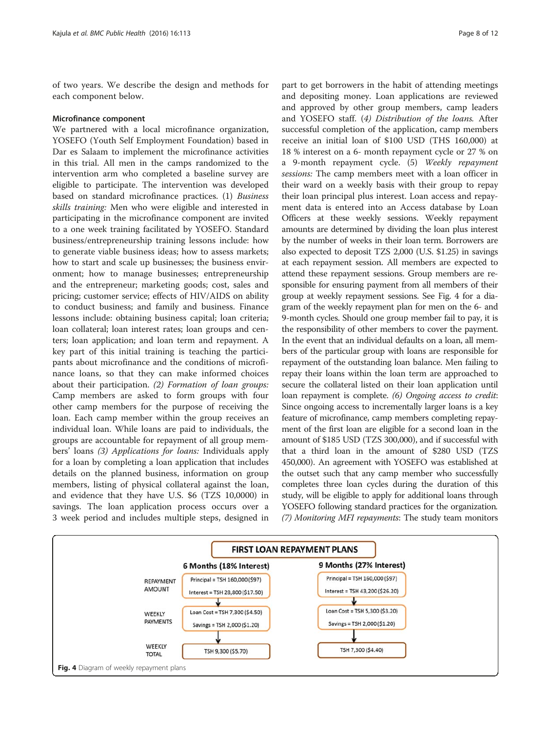of two years. We describe the design and methods for each component below.

#### Microfinance component

We partnered with a local microfinance organization, YOSEFO (Youth Self Employment Foundation) based in Dar es Salaam to implement the microfinance activities in this trial. All men in the camps randomized to the intervention arm who completed a baseline survey are eligible to participate. The intervention was developed based on standard microfinance practices. (1) Business skills training: Men who were eligible and interested in participating in the microfinance component are invited to a one week training facilitated by YOSEFO. Standard business/entrepreneurship training lessons include: how to generate viable business ideas; how to assess markets; how to start and scale up businesses; the business environment; how to manage businesses; entrepreneurship and the entrepreneur; marketing goods; cost, sales and pricing; customer service; effects of HIV/AIDS on ability to conduct business; and family and business. Finance lessons include: obtaining business capital; loan criteria; loan collateral; loan interest rates; loan groups and centers; loan application; and loan term and repayment. A key part of this initial training is teaching the participants about microfinance and the conditions of microfinance loans, so that they can make informed choices about their participation. (2) Formation of loan groups: Camp members are asked to form groups with four other camp members for the purpose of receiving the loan. Each camp member within the group receives an individual loan. While loans are paid to individuals, the groups are accountable for repayment of all group members' loans (3) Applications for loans: Individuals apply for a loan by completing a loan application that includes details on the planned business, information on group members, listing of physical collateral against the loan, and evidence that they have U.S. \$6 (TZS 10,0000) in savings. The loan application process occurs over a 3 week period and includes multiple steps, designed in

part to get borrowers in the habit of attending meetings and depositing money. Loan applications are reviewed and approved by other group members, camp leaders and YOSEFO staff. (4) Distribution of the loans. After successful completion of the application, camp members receive an initial loan of \$100 USD (THS 160,000) at 18 % interest on a 6- month repayment cycle or 27 % on a 9-month repayment cycle. (5) Weekly repayment sessions: The camp members meet with a loan officer in their ward on a weekly basis with their group to repay their loan principal plus interest. Loan access and repayment data is entered into an Access database by Loan Officers at these weekly sessions. Weekly repayment amounts are determined by dividing the loan plus interest by the number of weeks in their loan term. Borrowers are also expected to deposit TZS 2,000 (U.S. \$1.25) in savings at each repayment session. All members are expected to attend these repayment sessions. Group members are responsible for ensuring payment from all members of their group at weekly repayment sessions. See Fig. 4 for a diagram of the weekly repayment plan for men on the 6- and 9-month cycles. Should one group member fail to pay, it is the responsibility of other members to cover the payment. In the event that an individual defaults on a loan, all members of the particular group with loans are responsible for repayment of the outstanding loan balance. Men failing to repay their loans within the loan term are approached to secure the collateral listed on their loan application until loan repayment is complete. (6) Ongoing access to credit: Since ongoing access to incrementally larger loans is a key feature of microfinance, camp members completing repayment of the first loan are eligible for a second loan in the amount of \$185 USD (TZS 300,000), and if successful with that a third loan in the amount of \$280 USD (TZS 450,000). An agreement with YOSEFO was established at the outset such that any camp member who successfully completes three loan cycles during the duration of this study, will be eligible to apply for additional loans through YOSEFO following standard practices for the organization. (7) Monitoring MFI repayments: The study team monitors

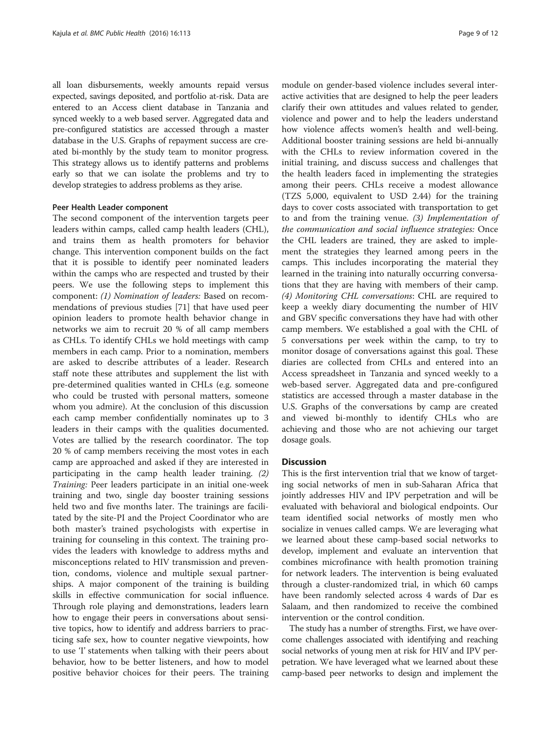all loan disbursements, weekly amounts repaid versus expected, savings deposited, and portfolio at-risk. Data are entered to an Access client database in Tanzania and synced weekly to a web based server. Aggregated data and pre-configured statistics are accessed through a master database in the U.S. Graphs of repayment success are created bi-monthly by the study team to monitor progress. This strategy allows us to identify patterns and problems early so that we can isolate the problems and try to develop strategies to address problems as they arise.

### Peer Health Leader component

The second component of the intervention targets peer leaders within camps, called camp health leaders (CHL), and trains them as health promoters for behavior change. This intervention component builds on the fact that it is possible to identify peer nominated leaders within the camps who are respected and trusted by their peers. We use the following steps to implement this component: (1) Nomination of leaders: Based on recommendations of previous studies [\[71](#page--1-0)] that have used peer opinion leaders to promote health behavior change in networks we aim to recruit 20 % of all camp members as CHLs. To identify CHLs we hold meetings with camp members in each camp. Prior to a nomination, members are asked to describe attributes of a leader. Research staff note these attributes and supplement the list with pre-determined qualities wanted in CHLs (e.g. someone who could be trusted with personal matters, someone whom you admire). At the conclusion of this discussion each camp member confidentially nominates up to 3 leaders in their camps with the qualities documented. Votes are tallied by the research coordinator. The top 20 % of camp members receiving the most votes in each camp are approached and asked if they are interested in participating in the camp health leader training. (2) Training: Peer leaders participate in an initial one-week training and two, single day booster training sessions held two and five months later. The trainings are facilitated by the site-PI and the Project Coordinator who are both master's trained psychologists with expertise in training for counseling in this context. The training provides the leaders with knowledge to address myths and misconceptions related to HIV transmission and prevention, condoms, violence and multiple sexual partnerships. A major component of the training is building skills in effective communication for social influence. Through role playing and demonstrations, leaders learn how to engage their peers in conversations about sensitive topics, how to identify and address barriers to practicing safe sex, how to counter negative viewpoints, how to use 'I' statements when talking with their peers about behavior, how to be better listeners, and how to model positive behavior choices for their peers. The training

module on gender-based violence includes several interactive activities that are designed to help the peer leaders clarify their own attitudes and values related to gender, violence and power and to help the leaders understand how violence affects women's health and well-being. Additional booster training sessions are held bi-annually with the CHLs to review information covered in the initial training, and discuss success and challenges that the health leaders faced in implementing the strategies among their peers. CHLs receive a modest allowance (TZS 5,000, equivalent to USD 2.44) for the training days to cover costs associated with transportation to get to and from the training venue. (3) Implementation of the communication and social influence strategies: Once the CHL leaders are trained, they are asked to implement the strategies they learned among peers in the camps. This includes incorporating the material they learned in the training into naturally occurring conversations that they are having with members of their camp. (4) Monitoring CHL conversations: CHL are required to keep a weekly diary documenting the number of HIV and GBV specific conversations they have had with other camp members. We established a goal with the CHL of 5 conversations per week within the camp, to try to monitor dosage of conversations against this goal. These diaries are collected from CHLs and entered into an Access spreadsheet in Tanzania and synced weekly to a web-based server. Aggregated data and pre-configured statistics are accessed through a master database in the U.S. Graphs of the conversations by camp are created and viewed bi-monthly to identify CHLs who are achieving and those who are not achieving our target dosage goals.

### **Discussion**

This is the first intervention trial that we know of targeting social networks of men in sub-Saharan Africa that jointly addresses HIV and IPV perpetration and will be evaluated with behavioral and biological endpoints. Our team identified social networks of mostly men who socialize in venues called camps. We are leveraging what we learned about these camp-based social networks to develop, implement and evaluate an intervention that combines microfinance with health promotion training for network leaders. The intervention is being evaluated through a cluster-randomized trial, in which 60 camps have been randomly selected across 4 wards of Dar es Salaam, and then randomized to receive the combined intervention or the control condition.

The study has a number of strengths. First, we have overcome challenges associated with identifying and reaching social networks of young men at risk for HIV and IPV perpetration. We have leveraged what we learned about these camp-based peer networks to design and implement the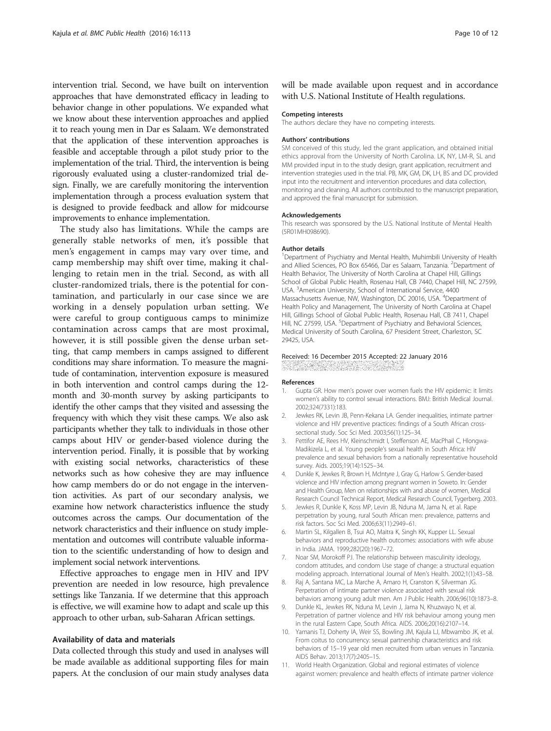<span id="page-9-0"></span>intervention trial. Second, we have built on intervention approaches that have demonstrated efficacy in leading to behavior change in other populations. We expanded what we know about these intervention approaches and applied it to reach young men in Dar es Salaam. We demonstrated that the application of these intervention approaches is feasible and acceptable through a pilot study prior to the implementation of the trial. Third, the intervention is being rigorously evaluated using a cluster-randomized trial design. Finally, we are carefully monitoring the intervention implementation through a process evaluation system that is designed to provide feedback and allow for midcourse improvements to enhance implementation.

The study also has limitations. While the camps are generally stable networks of men, it's possible that men's engagement in camps may vary over time, and camp membership may shift over time, making it challenging to retain men in the trial. Second, as with all cluster-randomized trials, there is the potential for contamination, and particularly in our case since we are working in a densely population urban setting. We were careful to group contiguous camps to minimize contamination across camps that are most proximal, however, it is still possible given the dense urban setting, that camp members in camps assigned to different conditions may share information. To measure the magnitude of contamination, intervention exposure is measured in both intervention and control camps during the 12 month and 30-month survey by asking participants to identify the other camps that they visited and assessing the frequency with which they visit these camps. We also ask participants whether they talk to individuals in those other camps about HIV or gender-based violence during the intervention period. Finally, it is possible that by working with existing social networks, characteristics of these networks such as how cohesive they are may influence how camp members do or do not engage in the intervention activities. As part of our secondary analysis, we examine how network characteristics influence the study outcomes across the camps. Our documentation of the network characteristics and their influence on study implementation and outcomes will contribute valuable information to the scientific understanding of how to design and implement social network interventions.

Effective approaches to engage men in HIV and IPV prevention are needed in low resource, high prevalence settings like Tanzania. If we determine that this approach is effective, we will examine how to adapt and scale up this approach to other urban, sub-Saharan African settings.

### Availability of data and materials

Data collected through this study and used in analyses will be made available as additional supporting files for main papers. At the conclusion of our main study analyses data

will be made available upon request and in accordance with U.S. National Institute of Health regulations.

#### Competing interests

The authors declare they have no competing interests.

#### Authors' contributions

SM conceived of this study, led the grant application, and obtained initial ethics approval from the University of North Carolina. LK, NY, LM-R, SL and MM provided input in to the study design, grant application, recruitment and intervention strategies used in the trial. PB, MK, GM, DK, LH, BS and DC provided input into the recruitment and intervention procedures and data collection, monitoring and cleaning. All authors contributed to the manuscript preparation, and approved the final manuscript for submission.

#### Acknowledgements

This research was sponsored by the U.S. National Institute of Mental Health (5R01MH098690).

#### Author details

<sup>1</sup>Department of Psychiatry and Mental Health, Muhimbili University of Health and Allied Sciences, PO Box 65466, Dar es Salaam, Tanzania. <sup>2</sup>Department of Health Behavior, The University of North Carolina at Chapel Hill, Gillings School of Global Public Health, Rosenau Hall, CB 7440, Chapel Hill, NC 27599, USA. <sup>3</sup> American University, School of International Service, 4400 Massachusetts Avenue, NW, Washington, DC 20016, USA. <sup>4</sup>Department of Health Policy and Management, The University of North Carolina at Chapel Hill, Gillings School of Global Public Health, Rosenau Hall, CB 7411, Chapel Hill, NC 27599, USA. <sup>5</sup>Department of Psychiatry and Behavioral Sciences Medical University of South Carolina, 67 President Street, Charleston, SC 29425, USA.

#### Received: 16 December 2015 Accepted: 22 January 2016

#### References

- 1. Gupta GR. How men's power over women fuels the HIV epidemic: it limits women's ability to control sexual interactions. BMJ: British Medical Journal. 2002;324(7331):183.
- 2. Jewkes RK, Levin JB, Penn-Kekana LA. Gender inequalities, intimate partner violence and HIV preventive practices: findings of a South African crosssectional study. Soc Sci Med. 2003;56(1):125–34.
- 3. Pettifor AE, Rees HV, Kleinschmidt I, Steffenson AE, MacPhail C, Hlongwa-Madikizela L, et al. Young people's sexual health in South Africa: HIV prevalence and sexual behaviors from a nationally representative household survey. Aids. 2005;19(14):1525–34.
- 4. Dunkle K, Jewkes R, Brown H, McIntyre J, Gray G, Harlow S. Gender-based violence and HIV infection among pregnant women in Soweto. In: Gender and Health Group, Men on relationships with and abuse of women, Medical Research Council Technical Report, Medical Research Council, Tygerberg. 2003.
- 5. Jewkes R, Dunkle K, Koss MP, Levin JB, Nduna M, Jama N, et al. Rape perpetration by young, rural South African men: prevalence, patterns and risk factors. Soc Sci Med. 2006;63(11):2949–61.
- 6. Martin SL, Kilgallen B, Tsui AO, Maitra K, Singh KK, Kupper LL. Sexual behaviors and reproductive health outcomes: associations with wife abuse in India. JAMA. 1999;282(20):1967–72.
- 7. Noar SM, Morokoff PJ. The relationship between masculinity ideology, condom attitudes, and condom Use stage of change: a structural equation modeling approach. International Journal of Men's Health. 2002;1(1):43–58.
- 8. Raj A, Santana MC, La Marche A, Amaro H, Cranston K, Silverman JG. Perpetration of intimate partner violence associated with sexual risk behaviors among young adult men. Am J Public Health. 2006;96(10):1873–8.
- 9. Dunkle KL, Jewkes RK, Nduna M, Levin J, Jama N, Khuzwayo N, et al. Perpetration of partner violence and HIV risk behaviour among young men in the rural Eastern Cape, South Africa. AIDS. 2006;20(16):2107–14.
- 10. Yamanis TJ, Doherty IA, Weir SS, Bowling JM, Kajula LJ, Mbwambo JK, et al. From coitus to concurrency: sexual partnership characteristics and risk behaviors of 15–19 year old men recruited from urban venues in Tanzania. AIDS Behav. 2013;17(7):2405–15.
- 11. World Health Organization. Global and regional estimates of violence against women: prevalence and health effects of intimate partner violence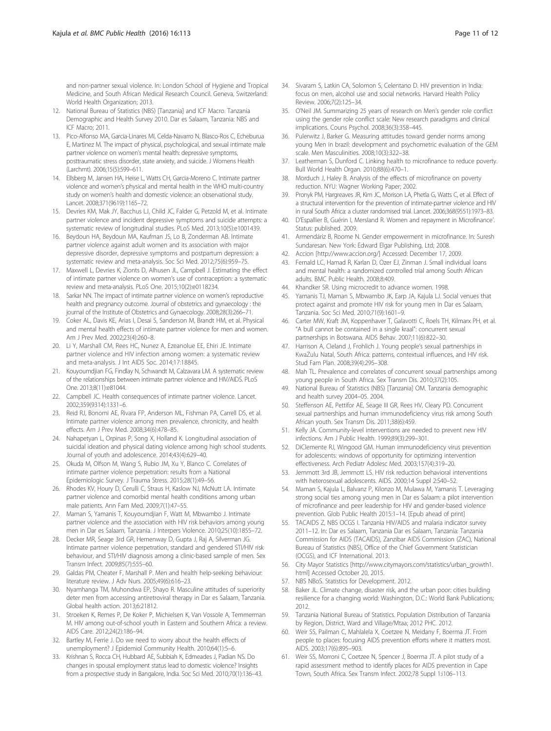<span id="page-10-0"></span>and non-partner sexual violence. In: London School of Hygiene and Tropical Medicine, and South African Medical Research Council. Geneva, Switzerland: World Health Organization; 2013.

- 12. National Bureau of Statistics (NBS) [Tanzania] and ICF Macro. Tanzania Demographic and Health Survey 2010. Dar es Salaam, Tanzania: NBS and ICF Macro; 2011.
- 13. Pico-Alfonso MA, Garcia-Linares MI, Celda-Navarro N, Blasco-Ros C, Echeburua E, Martinez M. The impact of physical, psychological, and sexual intimate male partner violence on women's mental health: depressive symptoms, posttraumatic stress disorder, state anxiety, and suicide. J Womens Health (Larchmt). 2006;15(5):599–611.
- 14. Ellsberg M, Jansen HA, Heise L, Watts CH, Garcia-Moreno C. Intimate partner violence and women's physical and mental health in the WHO multi-country study on women's health and domestic violence: an observational study. Lancet. 2008;371(9619):1165–72.
- 15. Devries KM, Mak JY, Bacchus LJ, Child JC, Falder G, Petzold M, et al. Intimate partner violence and incident depressive symptoms and suicide attempts: a systematic review of longitudinal studies. PLoS Med. 2013;10(5):e1001439.
- 16. Beydoun HA, Beydoun MA, Kaufman JS, Lo B, Zonderman AB. Intimate partner violence against adult women and its association with major depressive disorder, depressive symptoms and postpartum depression: a systematic review and meta-analysis. Soc Sci Med. 2012;75(6):959–75.
- 17. Maxwell L, Devries K, Zionts D, Alhusen JL, Campbell J. Estimating the effect of intimate partner violence on women's use of contraception: a systematic review and meta-analysis. PLoS One. 2015;10(2):e0118234.
- 18. Sarkar NN. The impact of intimate partner violence on women's reproductive health and pregnancy outcome. Journal of obstetrics and gynaecology : the journal of the Institute of Obstetrics and Gynaecology. 2008;28(3):266–71.
- 19. Coker AL, Davis KE, Arias I, Desai S, Sanderson M, Brandt HM, et al. Physical and mental health effects of intimate partner violence for men and women. Am J Prev Med. 2002;23(4):260–8.
- 20. Li Y, Marshall CM, Rees HC, Nunez A, Ezeanolue EE, Ehiri JE. Intimate partner violence and HIV infection among women: a systematic review and meta-analysis. J Int AIDS Soc. 2014;17:18845.
- 21. Kouyoumdjian FG, Findlay N, Schwandt M, Calzavara LM. A systematic review of the relationships between intimate partner violence and HIV/AIDS. PLoS One. 2013;8(11):e81044.
- 22. Campbell JC. Health consequences of intimate partner violence. Lancet. 2002;359(9314):1331–6.
- 23. Reid RJ, Bonomi AE, Rivara FP, Anderson ML, Fishman PA, Carrell DS, et al. Intimate partner violence among men prevalence, chronicity, and health effects. Am J Prev Med. 2008;34(6):478–85.
- 24. Nahapetyan L, Orpinas P, Song X, Holland K. Longitudinal association of suicidal ideation and physical dating violence among high school students. Journal of youth and adolescence. 2014;43(4):629–40.
- 25. Okuda M, Olfson M, Wang S, Rubio JM, Xu Y, Blanco C. Correlates of intimate partner violence perpetration: results from a National Epidemiologic Survey. J Trauma Stress. 2015;28(1):49–56.
- 26. Rhodes KV, Houry D, Cerulli C, Straus H, Kaslow NJ, McNutt LA. Intimate partner violence and comorbid mental health conditions among urban male patients. Ann Fam Med. 2009;7(1):47–55.
- 27. Maman S, Yamanis T, Kouyoumdjian F, Watt M, Mbwambo J. Intimate partner violence and the association with HIV risk behaviors among young men in Dar es Salaam, Tanzania. J Interpers Violence. 2010;25(10):1855–72.
- 28. Decker MR, Seage 3rd GR, Hemenway D, Gupta J, Raj A, Silverman JG. Intimate partner violence perpetration, standard and gendered STI/HIV risk behaviour, and STI/HIV diagnosis among a clinic-based sample of men. Sex Transm Infect. 2009;85(7):555–60.
- 29. Galdas PM, Cheater F, Marshall P. Men and health help-seeking behaviour: literature review. J Adv Nurs. 2005;49(6):616–23.
- 30. Nyamhanga TM, Muhondwa EP, Shayo R. Masculine attitudes of superiority deter men from accessing antiretroviral therapy in Dar es Salaam, Tanzania. Global health action. 2013;6:21812.
- 31. Stroeken K, Remes P, De Koker P, Michielsen K, Van Vossole A, Temmerman M. HIV among out-of-school youth in Eastern and Southern Africa: a review. AIDS Care. 2012;24(2):186–94.
- 32. Bartley M, Ferrie J. Do we need to worry about the health effects of unemployment? J Epidemiol Community Health. 2010;64(1):5–6.
- 33. Krishnan S, Rocca CH, Hubbard AE, Subbiah K, Edmeades J, Padian NS. Do changes in spousal employment status lead to domestic violence? Insights from a prospective study in Bangalore, India. Soc Sci Med. 2010;70(1):136–43.
- 34. Sivaram S, Latkin CA, Solomon S, Celentano D. HIV prevention in India: focus on men, alcohol use and social networks. Harvard Health Policy Review. 2006;7(2):125–34.
- 35. O'Neil JM. Summarizing 25 years of research on Men's gender role conflict using the gender role conflict scale: New research paradigms and clinical implications. Couns Psychol. 2008;36(3):358–445.
- 36. Pulerwitz J, Barker G. Measuring attitudes toward gender norms among young Men in brazil: development and psychometric evaluation of the GEM scale. Men Masculinities. 2008;10(3):322–38.
- 37. Leatherman S, Dunford C. Linking health to microfinance to reduce poverty. Bull World Health Organ. 2010;88(6):470–1.
- 38. Morduch J, Haley B. Analysis of the effects of microfinance on poverty reduction. NYU: Wagner Working Paper; 2002.
- 39. Pronyk PM, Hargreaves JR, Kim JC, Morison LA, Phetla G, Watts C, et al. Effect of a structural intervention for the prevention of intimate-partner violence and HIV in rural South Africa: a cluster randomised trial. Lancet. 2006;368(9551):1973–83.
- 40. D'Espallier B, Guérin I, Mersland R. Women and repayment in Microfinance'. Status: published. 2009.
- 41. Armendáriz B, Roome N. Gender empowerment in microfinance. In: Suresh Sundaresan. New York: Edward Elgar Publishing, Ltd; 2008.
- 42. Accion [\[http://www.accion.org/\]](http://www.accion.org/) Accessed: December 17, 2009.
- 43. Fernald LC, Hamad R, Karlan D, Ozer EJ, Zinman J. Small individual loans and mental health: a randomized controlled trial among South African adults. BMC Public Health. 2008;8:409.
- 44. Khandker SR. Using microcredit to advance women. 1998.
- 45. Yamanis TJ, Maman S, Mbwambo JK, Earp JA, Kajula LJ. Social venues that protect against and promote HIV risk for young men in Dar es Salaam, Tanzania. Soc Sci Med. 2010;71(9):1601–9.
- 46. Carter MW, Kraft JM, Koppenhaver T, Galavotti C, Roels TH, Kilmarx PH, et al. "A bull cannot be contained in a single kraal": concurrent sexual partnerships in Botswana. AIDS Behav. 2007;11(6):822–30.
- 47. Harrison A, Cleland J, Frohlich J. Young people's sexual partnerships in KwaZulu‐Natal, South Africa: patterns, contextual influences, and HIV risk. Stud Fam Plan. 2008;39(4):295–308.
- 48. Mah TL. Prevalence and correlates of concurrent sexual partnerships among young people in South Africa. Sex Transm Dis. 2010;37(2):105.
- 49. National Bureau of Statistics (NBS) [Tanzania] OM. Tanzania demographic and health survey 2004–05. 2004.
- 50. Steffenson AE, Pettifor AE, Seage III GR, Rees HV, Cleary PD. Concurrent sexual partnerships and human immunodeficiency virus risk among South African youth. Sex Transm Dis. 2011;38(6):459.
- 51. Kelly JA. Community-level interventions are needed to prevent new HIV infections. Am J Public Health. 1999;89(3):299–301.
- 52. DiClemente RJ, Wingood GM. Human immunodeficiency virus prevention for adolescents: windows of opportunity for optimizing intervention effectiveness. Arch Pediatr Adolesc Med. 2003;157(4):319–20.
- Jemmott 3rd JB, Jemmott LS. HIV risk reduction behavioral interventions with heterosexual adolescents. AIDS. 2000;14 Suppl 2:S40–52.
- 54. Maman S, Kajula L, Balvanz P, Kilonzo M, Mulawa M, Yamanis T. Leveraging strong social ties among young men in Dar es Salaam: a pilot intervention of microfinance and peer leadership for HIV and gender-based violence prevention. Glob Public Health 2015:1–14. [Epub ahead of print]
- 55. TACAIDS Z, NBS OCGS I. Tanzania HIV/AIDS and malaria indicator survey 2011–12. In: Dar es Salaam, Tanzania Dar es Salaam, Tanzania: Tanzania Commission for AIDS (TACAIDS), Zanzibar AIDS Commission (ZAC), National Bureau of Statistics (NBS), Office of the Chief Government Statistician (OCGS), and ICF International. 2013.
- 56. City Mayor Statistics [[http://www.citymayors.com/statistics/urban\\_growth1.](http://www.citymayors.com/statistics/urban_growth1.html) [html\]](http://www.citymayors.com/statistics/urban_growth1.html) Accessed October 20, 2015.
- 57. NBS NBoS. Statistics for Development. 2012.
- 58. Baker JL. Climate change, disaster risk, and the urban poor: cities building resilience for a changing world: Washington, D.C.: World Bank Publications; 2012.
- 59. Tanzania National Bureau of Statistics. Population Distribution of Tanzania by Region, District, Ward and Village/Mtaa; 2012 PHC. 2012.
- 60. Weir SS, Pailman C, Mahlalela X, Coetzee N, Meidany F, Boerma JT. From people to places: focusing AIDS prevention efforts where it matters most. AIDS. 2003;17(6):895–903.
- 61. Weir SS, Morroni C, Coetzee N, Spencer J, Boerma JT. A pilot study of a rapid assessment method to identify places for AIDS prevention in Cape Town, South Africa. Sex Transm Infect. 2002;78 Suppl 1:i106–113.